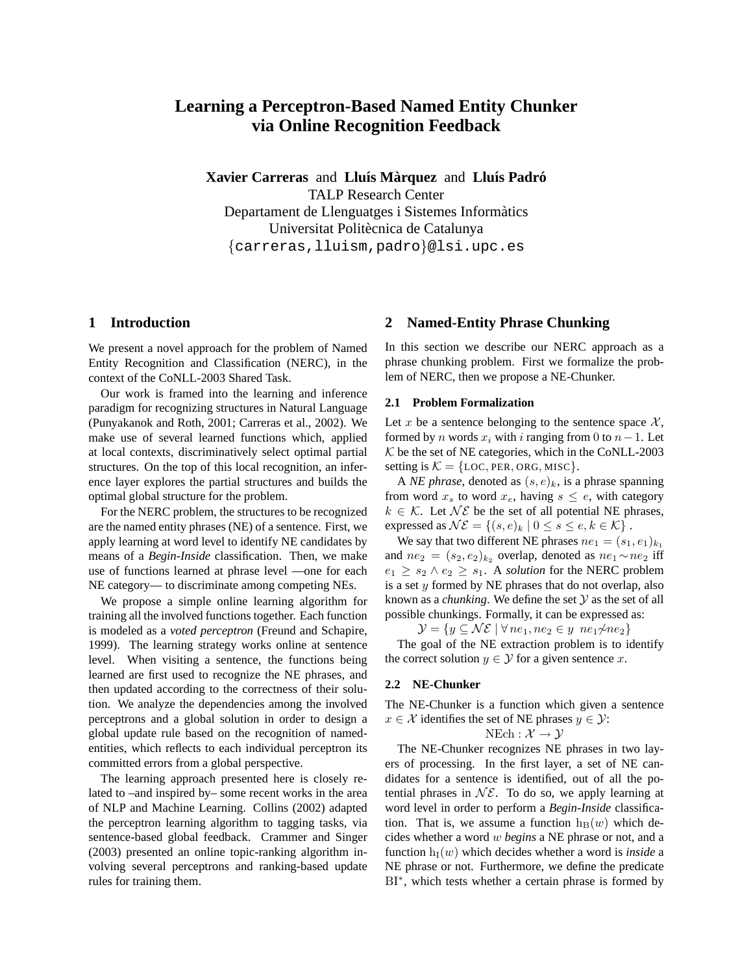# **Learning a Perceptron-Based Named Entity Chunker via Online Recognition Feedback**

**Xavier Carreras** and **Lluís Màrquez** and **Lluís Padró** TALP Research Center Departament de Llenguatges i Sistemes Informatics ` Universitat Politècnica de Catalunya {carreras,lluism,padro}@lsi.upc.es

# **1 Introduction**

We present a novel approach for the problem of Named Entity Recognition and Classification (NERC), in the context of the CoNLL-2003 Shared Task.

Our work is framed into the learning and inference paradigm for recognizing structures in Natural Language (Punyakanok and Roth, 2001; Carreras et al., 2002). We make use of several learned functions which, applied at local contexts, discriminatively select optimal partial structures. On the top of this local recognition, an inference layer explores the partial structures and builds the optimal global structure for the problem.

For the NERC problem, the structures to be recognized are the named entity phrases (NE) of a sentence. First, we apply learning at word level to identify NE candidates by means of a *Begin-Inside* classification. Then, we make use of functions learned at phrase level —one for each NE category— to discriminate among competing NEs.

We propose a simple online learning algorithm for training all the involved functions together. Each function is modeled as a *voted perceptron* (Freund and Schapire, 1999). The learning strategy works online at sentence level. When visiting a sentence, the functions being learned are first used to recognize the NE phrases, and then updated according to the correctness of their solution. We analyze the dependencies among the involved perceptrons and a global solution in order to design a global update rule based on the recognition of namedentities, which reflects to each individual perceptron its committed errors from a global perspective.

The learning approach presented here is closely related to –and inspired by– some recent works in the area of NLP and Machine Learning. Collins (2002) adapted the perceptron learning algorithm to tagging tasks, via sentence-based global feedback. Crammer and Singer (2003) presented an online topic-ranking algorithm involving several perceptrons and ranking-based update rules for training them.

### **2 Named-Entity Phrase Chunking**

In this section we describe our NERC approach as a phrase chunking problem. First we formalize the problem of NERC, then we propose a NE-Chunker.

### **2.1 Problem Formalization**

Let x be a sentence belonging to the sentence space  $\mathcal{X}$ , formed by *n* words  $x_i$  with *i* ranging from 0 to  $n-1$ . Let  $K$  be the set of NE categories, which in the CoNLL-2003 setting is  $K = \{LOC, PER, ORG, MISC\}.$ 

A *NE phrase*, denoted as  $(s, e)_k$ , is a phrase spanning from word  $x_s$  to word  $x_e$ , having  $s \leq e$ , with category  $k \in \mathcal{K}$ . Let  $\mathcal{NE}$  be the set of all potential NE phrases, expressed as  $\mathcal{NE} = \{(s, e)_k | 0 \le s \le e, k \in \mathcal{K}\}\.$ 

We say that two different NE phrases  $ne_1 = (s_1, e_1)_{k_1}$ and  $ne_2 = (s_2, e_2)_{k_2}$  overlap, denoted as  $ne_1 \sim ne_2$  iff  $e_1 \geq s_2 \wedge e_2 \geq s_1$ . A *solution* for the NERC problem is a set  $y$  formed by NE phrases that do not overlap, also known as a *chunking*. We define the set  $Y$  as the set of all possible chunkings. Formally, it can be expressed as:

 $\mathcal{Y} = \{y \subseteq \mathcal{NE} \mid \forall ne_1, ne_2 \in y \ ne_1 \nsim ne_2\}$ 

The goal of the NE extraction problem is to identify the correct solution  $y \in \mathcal{Y}$  for a given sentence x.

### **2.2 NE-Chunker**

The NE-Chunker is a function which given a sentence  $x \in \mathcal{X}$  identifies the set of NE phrases  $y \in \mathcal{Y}$ :

$$
\mathrm{NEch}: \mathcal{X} \to \mathcal{Y}
$$

The NE-Chunker recognizes NE phrases in two layers of processing. In the first layer, a set of NE candidates for a sentence is identified, out of all the potential phrases in  $N\mathcal{E}$ . To do so, we apply learning at word level in order to perform a *Begin-Inside* classification. That is, we assume a function  $h_B(w)$  which decides whether a word w *begins* a NE phrase or not, and a function  $h_I(w)$  which decides whether a word is *inside* a NE phrase or not. Furthermore, we define the predicate BI<sup>\*</sup>, which tests whether a certain phrase is formed by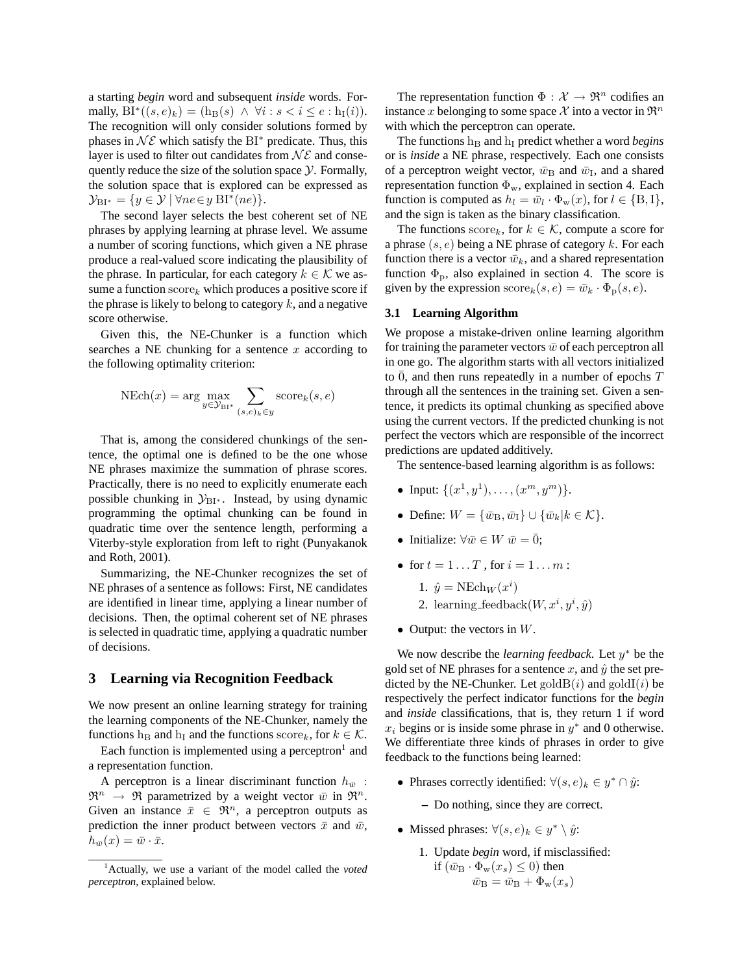a starting *begin* word and subsequent *inside* words. Formally,  $BI^*((s,e)_k) = (\mathbf{h}_{\mathbf{B}}(s) \land \forall i : s < i \leq e : \mathbf{h}_{\mathbf{I}}(i)).$ The recognition will only consider solutions formed by phases in  $\mathcal{NE}$  which satisfy the BI<sup>\*</sup> predicate. Thus, this layer is used to filter out candidates from  $N\mathcal{E}$  and consequently reduce the size of the solution space  $\mathcal Y$ . Formally, the solution space that is explored can be expressed as  $\mathcal{Y}_{\text{BI}^*} = \{ y \in \mathcal{Y} \mid \forall ne \in y \text{ BI}^*(ne) \}.$ 

The second layer selects the best coherent set of NE phrases by applying learning at phrase level. We assume a number of scoring functions, which given a NE phrase produce a real-valued score indicating the plausibility of the phrase. In particular, for each category  $k \in \mathcal{K}$  we assume a function  $score_k$  which produces a positive score if the phrase is likely to belong to category  $k$ , and a negative score otherwise.

Given this, the NE-Chunker is a function which searches a NE chunking for a sentence  $x$  according to the following optimality criterion:

$$
\text{NEch}(x) = \arg\max_{y \in \mathcal{Y}_{\text{BI}*}} \sum_{(s,e)_k \in y} \text{score}_k(s,e)
$$

That is, among the considered chunkings of the sentence, the optimal one is defined to be the one whose NE phrases maximize the summation of phrase scores. Practically, there is no need to explicitly enumerate each possible chunking in  $\mathcal{Y}_{BI^*}$ . Instead, by using dynamic programming the optimal chunking can be found in quadratic time over the sentence length, performing a Viterby-style exploration from left to right (Punyakanok and Roth, 2001).

Summarizing, the NE-Chunker recognizes the set of NE phrases of a sentence as follows: First, NE candidates are identified in linear time, applying a linear number of decisions. Then, the optimal coherent set of NE phrases is selected in quadratic time, applying a quadratic number of decisions.

### **3 Learning via Recognition Feedback**

We now present an online learning strategy for training the learning components of the NE-Chunker, namely the functions h<sub>B</sub> and h<sub>I</sub> and the functions score<sub>k</sub>, for  $k \in \mathcal{K}$ .

Each function is implemented using a perceptron $<sup>1</sup>$  and</sup> a representation function.

A perceptron is a linear discriminant function  $h_{\bar{w}}$ :  $\mathfrak{R}^n \rightarrow \mathfrak{R}$  parametrized by a weight vector  $\bar{w}$  in  $\mathfrak{R}^n$ . Given an instance  $\bar{x} \in \mathbb{R}^n$ , a perceptron outputs as prediction the inner product between vectors  $\bar{x}$  and  $\bar{w}$ ,  $h_{\bar{w}}(x) = \bar{w} \cdot \bar{x}.$ 

The representation function  $\Phi : \mathcal{X} \to \mathbb{R}^n$  codifies an instance x belonging to some space X into a vector in  $\mathfrak{R}^n$ with which the perceptron can operate.

The functions  $h_B$  and  $h_I$  predict whether a word *begins* or is *inside* a NE phrase, respectively. Each one consists of a perceptron weight vector,  $\bar{w}_B$  and  $\bar{w}_I$ , and a shared representation function  $\Phi_w$ , explained in section 4. Each function is computed as  $h_l = \bar{w}_l \cdot \Phi_{w}(x)$ , for  $l \in \{B, I\}$ , and the sign is taken as the binary classification.

The functions  $score_k$ , for  $k \in \mathcal{K}$ , compute a score for a phrase  $(s, e)$  being a NE phrase of category k. For each function there is a vector  $\bar{w}_k$ , and a shared representation function  $\Phi_{\rm p}$ , also explained in section 4. The score is given by the expression  $\text{score}_k(s, e) = \bar{w}_k \cdot \Phi_p(s, e)$ .

#### **3.1 Learning Algorithm**

We propose a mistake-driven online learning algorithm for training the parameter vectors  $\bar{w}$  of each perceptron all in one go. The algorithm starts with all vectors initialized to  $\overline{0}$ , and then runs repeatedly in a number of epochs T through all the sentences in the training set. Given a sentence, it predicts its optimal chunking as specified above using the current vectors. If the predicted chunking is not perfect the vectors which are responsible of the incorrect predictions are updated additively.

The sentence-based learning algorithm is as follows:

- Input:  $\{(x^1, y^1), \ldots, (x^m, y^m)\}.$
- Define:  $W = {\overline{w}_B, \overline{w}_I} \cup {\overline{w}_k | k \in \mathcal{K}}.$
- Initialize:  $\forall \bar{w} \in W \ \bar{w} = \bar{0}$ ;
- for  $t = 1 \dots T$ , for  $i = 1 \dots m$ :
	- 1.  $\hat{y} = \text{NEch}_W(x^i)$
	- 2. learning\_feedback $(W, x^i, y^i, \hat{y})$
- Output: the vectors in  $W$ .

We now describe the *learning feedback*. Let  $y^*$  be the gold set of NE phrases for a sentence x, and  $\hat{y}$  the set predicted by the NE-Chunker. Let  $\text{goldB}(i)$  and  $\text{goldI}(i)$  be respectively the perfect indicator functions for the *begin* and *inside* classifications, that is, they return 1 if word  $x_i$  begins or is inside some phrase in  $y^*$  and 0 otherwise. We differentiate three kinds of phrases in order to give feedback to the functions being learned:

• Phrases correctly identified:  $\forall (s, e)_k \in y^* \cap \hat{y}$ :

**–** Do nothing, since they are correct.

- Missed phrases:  $\forall (s, e)_k \in y^* \setminus \hat{y}$ :
	- 1. Update *begin* word, if misclassified: if  $(\bar{w}_B \cdot \Phi_w(x_s) \leq 0)$  then

$$
\bar{w}_{\rm B} = \bar{w}_{\rm B} + \Phi_{\rm w}(x_s)
$$

<sup>1</sup>Actually, we use a variant of the model called the *voted perceptron*, explained below.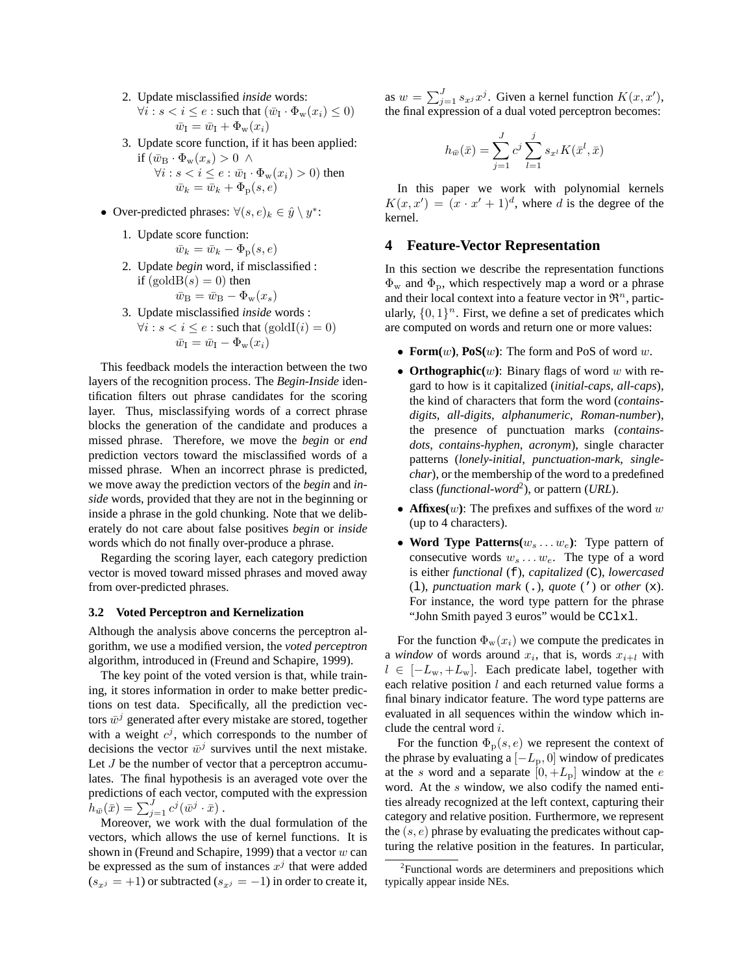2. Update misclassified *inside* words:

$$
\forall i: s < i \le e: \text{such that } (\bar{w}_I \cdot \Phi_w(x_i) \le 0)
$$
\n
$$
\bar{w}_I = \bar{w}_I + \Phi_w(x_i)
$$

- 3. Update score function, if it has been applied:
	- if  $(\bar{w}_B \cdot \Phi_w(x_s) > 0 \; \wedge$  $\forall i: s < i \leq e : \bar{w}_{\text{I}} \cdot \Phi_{\text{w}}(x_i) > 0)$  then  $\bar{w}_k = \bar{w}_k + \Phi_{\rm p}(s, e)$
- Over-predicted phrases:  $\forall (s, e)_k \in \hat{y} \setminus y^*$ :
	- 1. Update score function:

$$
\bar{w}_k = \bar{w}_k - \Phi_{\rm p}(s, e)
$$

2. Update *begin* word, if misclassified : if  $(goldB(s) = 0)$  then

$$
\bar{w}_{\rm B} = \bar{w}_{\rm B} - \Phi_{\rm w}(x_s)
$$

3. Update misclassified *inside* words :  $\forall i : s < i \leq e : \text{such that } (\text{goldI}(i) = 0)$  $\bar{w}_I = \bar{w}_I - \Phi_w(x_i)$ 

This feedback models the interaction between the two layers of the recognition process. The *Begin-Inside* identification filters out phrase candidates for the scoring layer. Thus, misclassifying words of a correct phrase blocks the generation of the candidate and produces a missed phrase. Therefore, we move the *begin* or *end* prediction vectors toward the misclassified words of a missed phrase. When an incorrect phrase is predicted, we move away the prediction vectors of the *begin* and *inside* words, provided that they are not in the beginning or inside a phrase in the gold chunking. Note that we deliberately do not care about false positives *begin* or *inside* words which do not finally over-produce a phrase.

Regarding the scoring layer, each category prediction vector is moved toward missed phrases and moved away from over-predicted phrases.

#### **3.2 Voted Perceptron and Kernelization**

Although the analysis above concerns the perceptron algorithm, we use a modified version, the *voted perceptron* algorithm, introduced in (Freund and Schapire, 1999).

The key point of the voted version is that, while training, it stores information in order to make better predictions on test data. Specifically, all the prediction vectors  $\bar{w}^j$  generated after every mistake are stored, together with a weight  $c^j$ , which corresponds to the number of decisions the vector  $\bar{w}^j$  survives until the next mistake. Let  $J$  be the number of vector that a perceptron accumulates. The final hypothesis is an averaged vote over the predictions of each vector, computed with the expression  $h_{\bar{w}}(\bar{x}) = \sum_{j=1}^{J} c^j (\bar{w}^j \cdot \bar{x}).$ 

Moreover, we work with the dual formulation of the vectors, which allows the use of kernel functions. It is shown in (Freund and Schapire, 1999) that a vector  $w$  can be expressed as the sum of instances  $x^j$  that were added  $(s_{x,i} = +1)$  or subtracted  $(s_{x,i} = -1)$  in order to create it,

as  $w = \sum_{j=1}^{J} s_{x^j} x^j$ . Given a kernel function  $K(x, x')$ , the final expression of a dual voted perceptron becomes:

$$
h_{\bar{w}}(\bar{x}) = \sum_{j=1}^{J} c^j \sum_{l=1}^{j} s_{x^l} K(\bar{x}^l, \bar{x})
$$

In this paper we work with polynomial kernels  $K(x, x') = (x \cdot x' + 1)^d$ , where d is the degree of the kernel.

# **4 Feature-Vector Representation**

In this section we describe the representation functions  $\Phi_{\rm w}$  and  $\Phi_{\rm p}$ , which respectively map a word or a phrase and their local context into a feature vector in  $\mathfrak{R}^n$ , particularly,  $\{0, 1\}^n$ . First, we define a set of predicates which are computed on words and return one or more values:

- **Form** $(w)$ , **PoS** $(w)$ : The form and PoS of word w.
- **Orthographic(**w**)**: Binary flags of word w with regard to how is it capitalized (*initial-caps*, *all-caps*), the kind of characters that form the word (*containsdigits*, *all-digits*, *alphanumeric*, *Roman-number*), the presence of punctuation marks (*containsdots*, *contains-hyphen*, *acronym*), single character patterns (*lonely-initial*, *punctuation-mark*, *singlechar*), or the membership of the word to a predefined class (*functional-word*<sup>2</sup> ), or pattern (*URL*).
- **Affixes** $(w)$ : The prefixes and suffixes of the word w (up to 4 characters).
- Word Type Patterns $(w_s \dots w_e)$ : Type pattern of consecutive words  $w_s \dots w_e$ . The type of a word is either *functional* (f), *capitalized* (C), *lowercased* (l), *punctuation mark* (.), *quote* (') or *other* (x). For instance, the word type pattern for the phrase "John Smith payed 3 euros" would be CClxl.

For the function  $\Phi_w(x_i)$  we compute the predicates in a *window* of words around  $x_i$ , that is, words  $x_{i+l}$  with  $l \in [-L_w, +L_w]$ . Each predicate label, together with each relative position  $l$  and each returned value forms a final binary indicator feature. The word type patterns are evaluated in all sequences within the window which include the central word i.

For the function  $\Phi_{\rm p}(s, e)$  we represent the context of the phrase by evaluating a  $[-L_p, 0]$  window of predicates at the s word and a separate  $[0, +L_p]$  window at the e word. At the s window, we also codify the named entities already recognized at the left context, capturing their category and relative position. Furthermore, we represent the  $(s, e)$  phrase by evaluating the predicates without capturing the relative position in the features. In particular,

<sup>&</sup>lt;sup>2</sup> Functional words are determiners and prepositions which typically appear inside NEs.